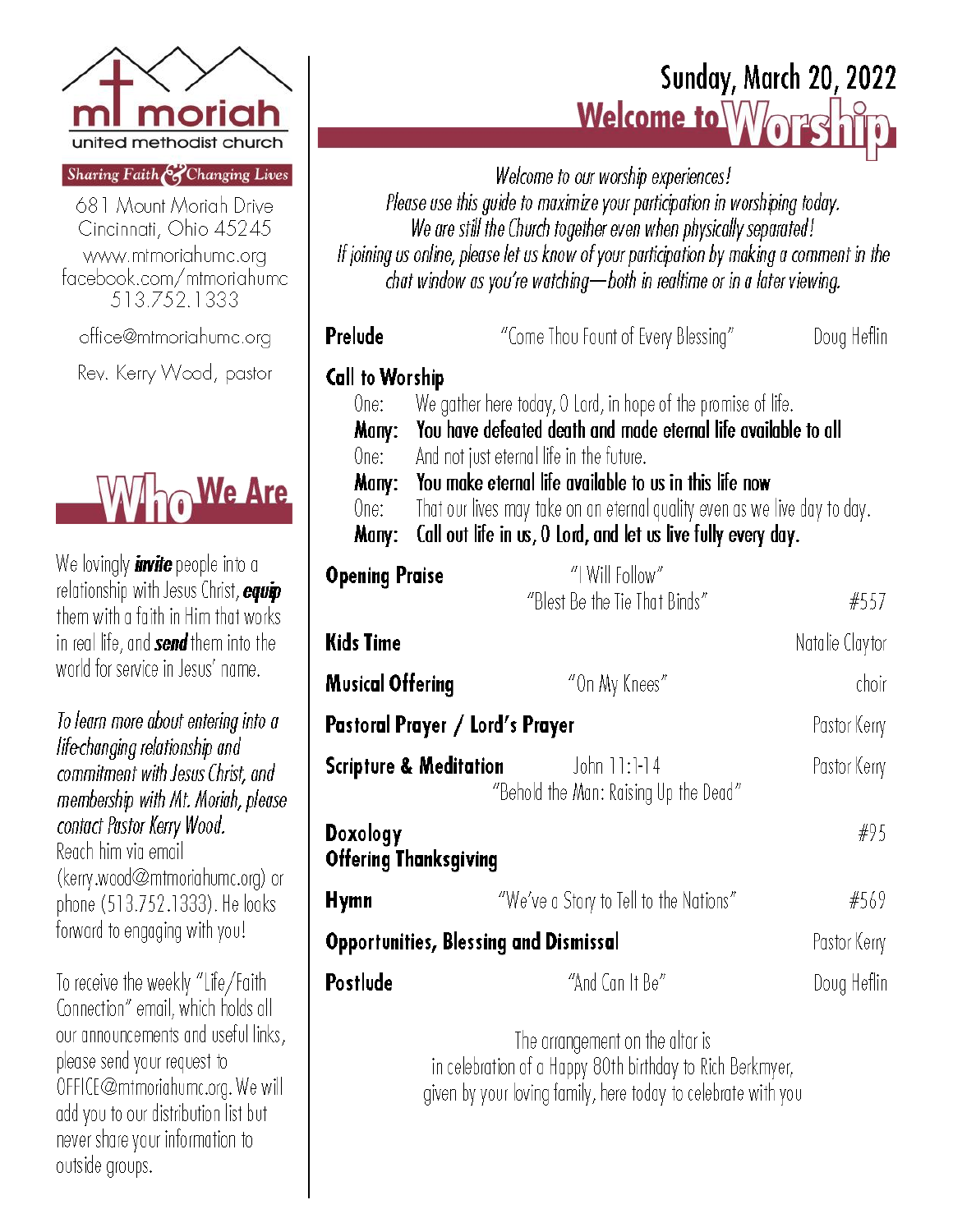

#### Sharing Faith & Changing Lives

681 Mount Moriah Drive Cincinnati, Ohio 45245 www.mtmoriahumc.org facebook.com/mtmoriahumc 513.752.1333

office@mtmoriahumc.org

Rev. Kerry Wood, pastor



We lovingly **invite** people into a relationship with Jesus Christ, equip them with a faith in Him that works in real life, and send them into the world for service in Jesus' name.

To learn more about entering into a life-changing relationship and commitment with Jesus Christ, and membership with Mt. Moriah, please contact Pastor Kerry Wood.

Reach him via email (kerry.wood@mtmoriahumc.org) or phone (513.752.1333). He looks forward to engaging with you!

To receive the weekly "Life/Faith Connection" email, which holds all our announcements and useful links, please send your request to OFFICE@mtmoriahumc.org. We will add you to our distribution list but never share your information to outside groups.

# **Sunday, March 20, 2022** Welcome to Wors

Welcome to our worship experiences! Please use this guide to maximize your participation in worshiping today. We are still the Church together even when physically separated! If joining us online, please let us know of your participation by making a comment in the chat window as you're watching-both in realtime or in a later viewing.

| Prelude                                                                |                                                                           | "Come Thou Fount of Every Blessing"                   | Doug Heflin     |  |
|------------------------------------------------------------------------|---------------------------------------------------------------------------|-------------------------------------------------------|-----------------|--|
| <b>Call to Worship</b>                                                 |                                                                           |                                                       |                 |  |
| One:                                                                   | We gather here today, 0 Lord, in hope of the promise of life.             |                                                       |                 |  |
| Many:                                                                  | You have defeated death and made eternal life available to all            |                                                       |                 |  |
| One: I                                                                 | And not just eternal life in the future.                                  |                                                       |                 |  |
| Many:                                                                  | You make eternal life available to us in this life now                    |                                                       |                 |  |
| One:                                                                   | That our lives may take on an eternal quality even as we live day to day. |                                                       |                 |  |
| Call out life in us, O Lord, and let us live fully every day.<br>Many: |                                                                           |                                                       |                 |  |
| <b>Opening Praise</b>                                                  |                                                                           | "I Will Follow"                                       |                 |  |
|                                                                        |                                                                           | "Blest Be the Tie That Binds"                         | #557            |  |
| <b>Kids Time</b>                                                       |                                                                           |                                                       | Natalie Claytor |  |
| <b>Musical Offering</b>                                                |                                                                           | "On My Knees"                                         | choir           |  |
| Pastoral Prayer / Lord's Prayer<br>Pastor Kerry                        |                                                                           |                                                       |                 |  |
|                                                                        | Scripture & Meditation                                                    | John 11:1-14<br>"Behold the Man: Raising Up the Dead" | Pastor Kerry    |  |
| <b>Nasalawa</b>                                                        |                                                                           |                                                       | <b>MUL</b>      |  |

#### **Doxology** #Y5 **Offering Thanksgiving Hymn** "We've a Story to Tell to the Nations" #569 **Opportunities, Blessing and Dismissal** Pastor Kerry Postlude "And Can It Be" Doug Heflin

The arrangement on the altar is in celebration of a Happy 80th birthday to Rich Berkmyer, given by your loving family, here today to celebrate with you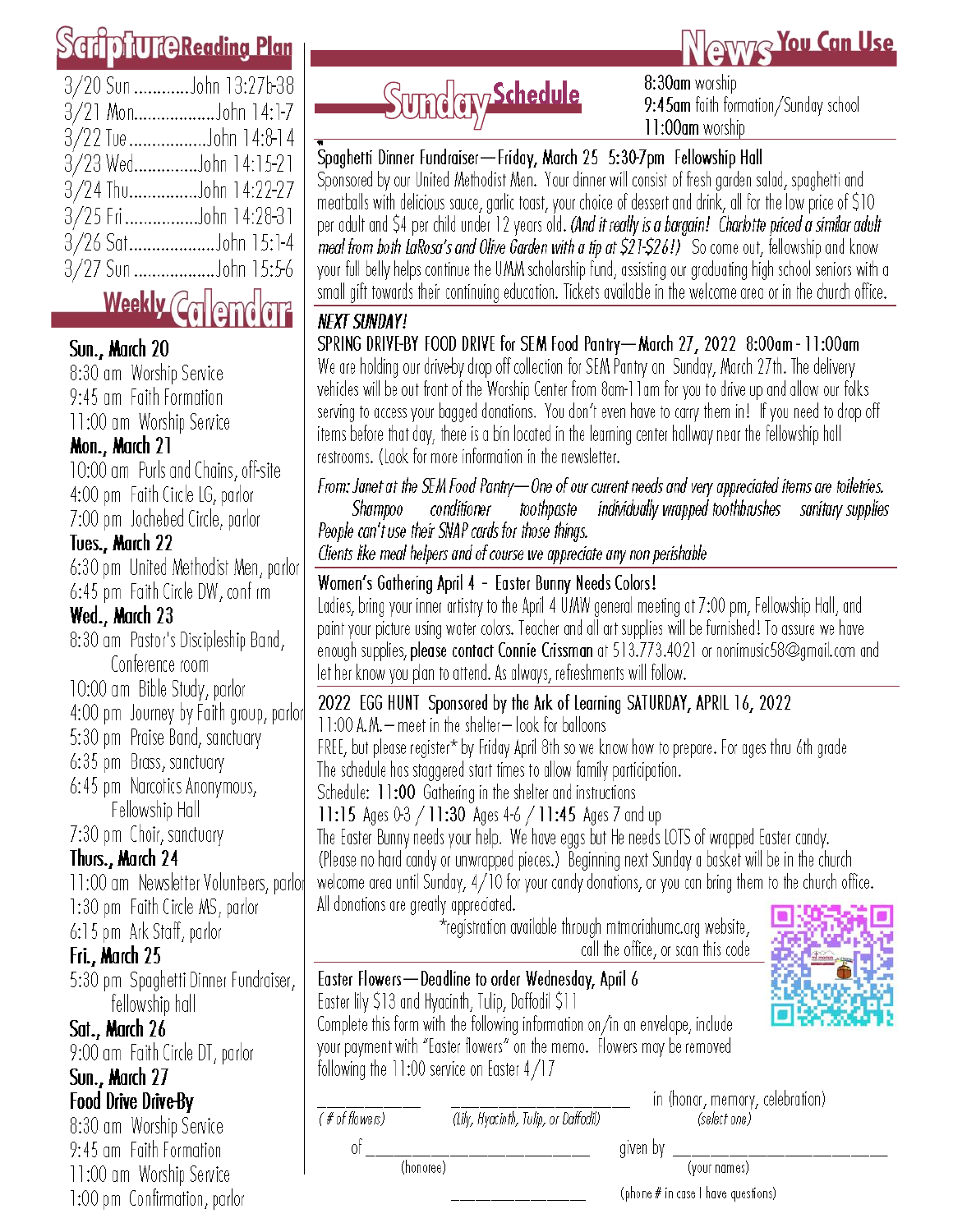# **MUTCReading Plan**

| 3/20 Sun John 13:27b-38 |
|-------------------------|
| 3/21 MonJohn 14:1-7     |
| 3/22 TueJohn 14:8-14    |
| 3/23 WedJohn 14:15-21   |
| 3/24 ThuJohn 14:22-27   |
|                         |
| 3/26 SatJohn 15:1-4     |
| 3/27 Sun John 15:5-6    |
|                         |

# Weekly Collemdar

# Sun., March 20

8:30 am Worship Service 9:45 am Faith Formation 11:00 am Worship Service

# Mon., March 21

10:00 am Purls and Chains, off-site 4:00 pm Faith Circle LG, parlor 7:00 pm Jochebed Circle, parlor

# Tues., March 22

6:30 pm United Methodist Men, parlor 6:45 pm Faith Circle DW, conf rm

# Wed., March 23

8:30 am Pastor's Discipleship Band, Conference room 10:00 am Bible Study, parlor

4:00 pm Journey by Faith group, parlor

5:30 pm Praise Band, sanctuary

6:35 pm Brass, sanctuary

6:45 pm Narcotics Anonymous, Fellowship Hall

7:30 pm Choir, sanctuary

# Thurs., March 24

11:00 am Newsletter Volunteers, parlor 1:30 pm Faith Circle MS, parlor

6:15 pm Ark Staff, parlor

# Fri., March 25

5:30 pm Spaghetti Dinner Fundraiser, fellowship hall

# Sat., March 26

9:00 am Faith Circle DT, parlor Sun., March 27

# **Food Drive Drive-By**

8:30 am Worship Service 9:45 am Faith Formation 11:00 am Worship Service 1:00 pm Confirmation, parlor Sunday Schedule

8:30am worship 9:45am faith formation/Sunday school 11:00am worship

**OTYWIR You Can Use** 

# Spaghetti Dinner Fundraiser - Friday, March 25 5:30-7pm Fellowship Hall

Sponsored by our United Methodist Men. Your dinner will consist of fresh garden salad, spaghetti and meatballs with delicious sauce, garlic toast, your choice of dessert and drink, all for the low price of \$10 per adult and \$4 per child under 12 years old. (And it really is a bargain! Charlotte priced a similar adult meal from both LaRosa's and Olive Garden with a tip at \$21-\$26!) So come out, fellowship and know your full belly helps continue the UMM scholarship fund, assisting our graduating high school seniors with a small gift towards their continuing education. Tickets available in the welcome area or in the church office.

# **NEXT SUNDAY!**

SPRING DRIVE-BY FOOD DRIVE for SEM Food Pantry-March 27, 2022 8:00am - 11:00am We are holding our drive by drop off collection for SEM Pantry on Sunday, March 27th. The delivery vehicles will be out front of the Worship Center from 8am-11am for you to drive up and allow our folks serving to access your bagged donations. You don't even have to carry them in! If you need to drop off items before that day, there is a bin located in the learning center hallway near the fellowship hall restrooms. (Look for more information in the newsletter.

From: Janet at the SEM Food Pantry-One of our current needs and very appreciated items are toiletries. individually wrapped toothbrushes sanitary supplies Shampoo conditioner toothpaste People can't use their SNAP cards for those things.

Clients like meal helpers and of course we appreciate any non perishable

## Women's Gathering April 4 - Easter Bunny Needs Colors!

Ladies, bring your inner artistry to the April 4 UMW general meeting at 7:00 pm, Fellowship Hall, and paint your picture using water colors. Teacher and all art supplies will be furnished! To assure we have enough supplies, please contact Connie Crissman at 513.773.4021 or nonimusic58@gmail.com and let her know you plan to attend. As always, refreshments will follow.

## 2022 EGG HUNT Sponsored by the Ark of Learning SATURDAY, APRIL 16, 2022

11:00 A.M. - meet in the shelter - look for balloons

FREE, but please register\* by Friday April 8th so we know how to prepare. For ages thru 6th grade The schedule has staggered start times to allow family participation.

Schedule: 11:00 Gathering in the shelter and instructions

11:15 Ages 0-3 / 11:30 Ages 4-6 / 11:45 Ages 7 and up

The Easter Bunny needs your help. We have eggs but He needs LOTS of wrapped Easter candy. (Please no hard candy or unwrapped pieces.) Beginning next Sunday a basket will be in the church welcome area until Sunday, 4/10 for your candy donations, or you can bring them to the church office. All donations are greatly appreciated.

\*registration available through mtmoriahumc.org website, call the office, or scan this code



# Easter Flowers - Deadline to order Wednesday, April 6

Easter lily \$13 and Hyacinth, Tulip, Daffodil \$11

Complete this form with the following information on/in an envelope, include your payment with "Easter flowers" on the memo. Flowers may be removed following the  $11:00$  service on Easter  $4/17$ 

 $(f\# of \text{flows})$ of

(Lily, Hyacinth, Tulip, or Daffodil)

in (honor, memory, celebration) (select one)

(honoree)

given by

(your names)

(phone # in case I have questions)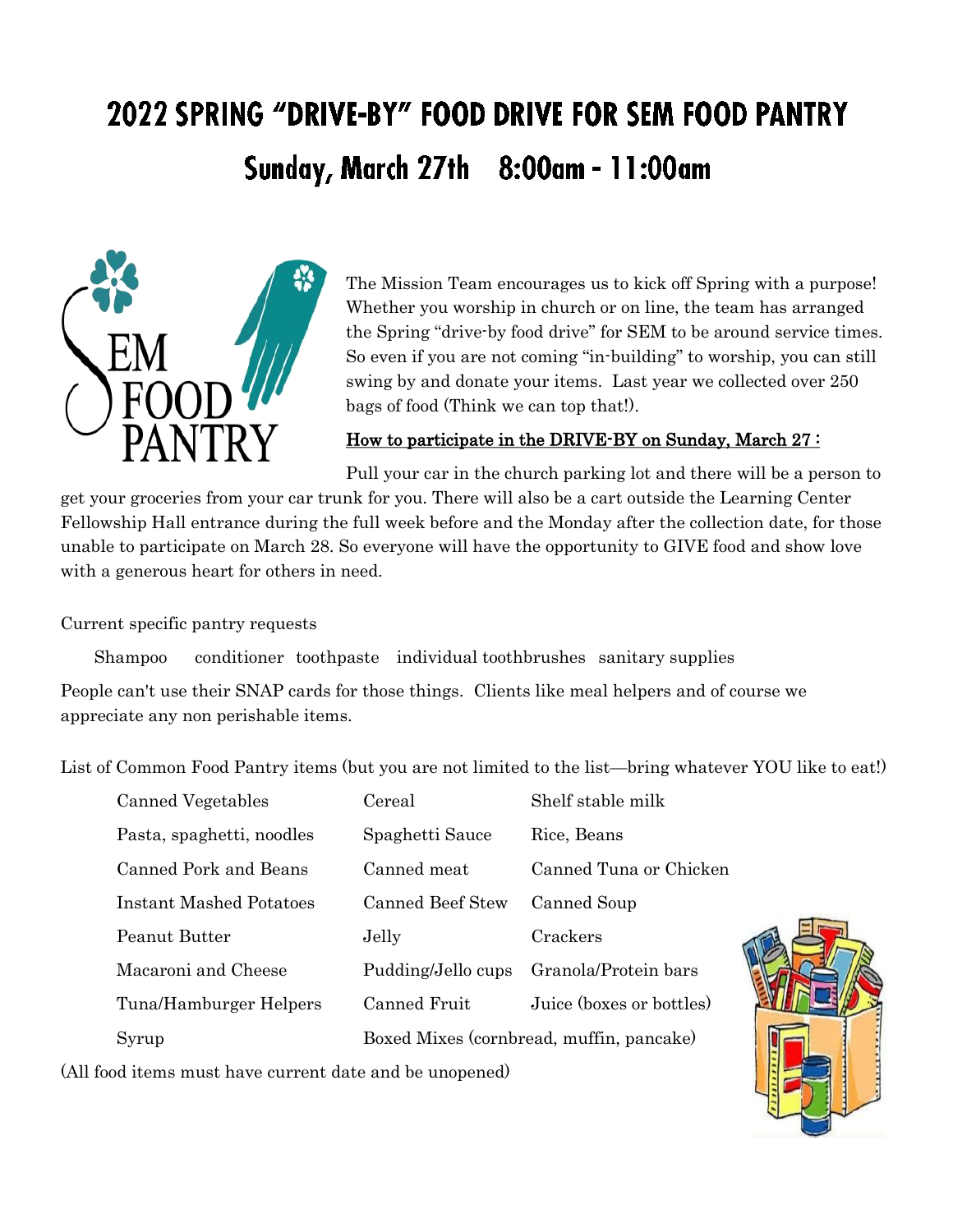# 2022 SPRING "DRIVE-BY" FOOD DRIVE FOR SEM FOOD PANTRY Sunday, March 27th 8:00am - 11:00am



The Mission Team encourages us to kick off Spring with a purpose! Whether you worship in church or on line, the team has arranged the Spring "drive-by food drive" for SEM to be around service times. So even if you are not coming "in-building" to worship, you can still swing by and donate your items. Last year we collected over 250 bags of food (Think we can top that!).

#### How to participate in the DRIVE-BY on Sunday, March 27:

Pull your car in the church parking lot and there will be a person to get your groceries from your car trunk for you. There will also be a cart outside the Learning Center Fellowship Hall entrance during the full week before and the Monday after the collection date, for those unable to participate on March 28. So everyone will have the opportunity to GIVE food and show love with a generous heart for others in need.

Current specific pantry requests

Shampoo conditioner toothpaste individual toothbrushes sanitary supplies

People can't use their SNAP cards for those things. Clients like meal helpers and of course we appreciate any non perishable items.

List of Common Food Pantry items (but you are not limited to the list—bring whatever YOU like to eat!)

| Canned Vegetables         | Cereal                                   | Shelf stable milk        |
|---------------------------|------------------------------------------|--------------------------|
| Pasta, spaghetti, noodles | Spaghetti Sauce                          | Rice, Beans              |
| Canned Pork and Beans     | Canned meat                              | Canned Tuna or Chicken   |
| Instant Mashed Potatoes   | Canned Beef Stew                         | Canned Soup              |
| Peanut Butter             | Jelly                                    | Crackers                 |
| Macaroni and Cheese       | Pudding/Jello cups                       | Granola/Protein bars     |
| Tuna/Hamburger Helpers    | Canned Fruit                             | Juice (boxes or bottles) |
| Syrup                     | Boxed Mixes (cornbread, muffin, pancake) |                          |

(All food items must have current date and be unopened)

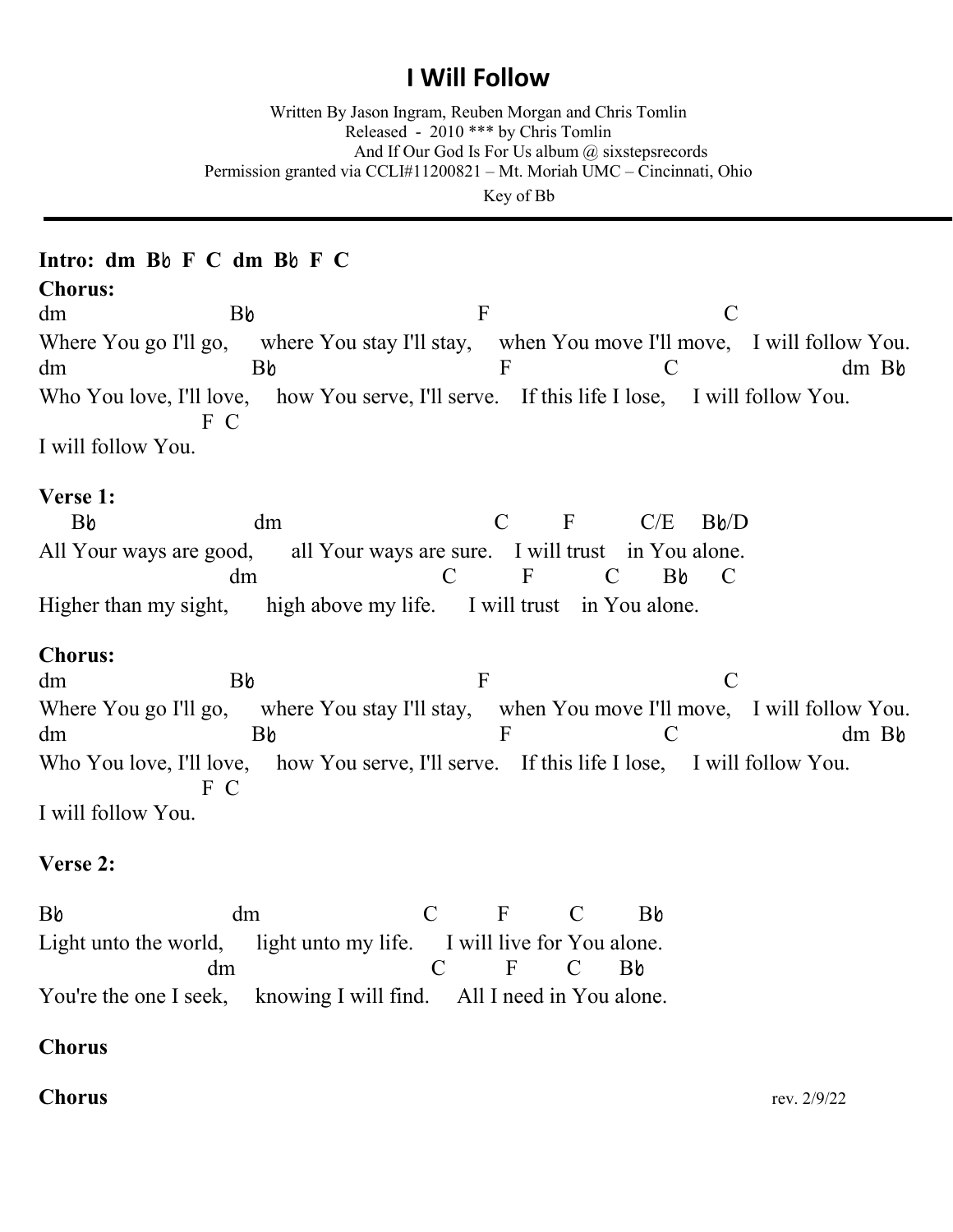# **I Will Follow**

Written By Jason Ingram, Reuben Morgan and Chris Tomlin Released - 2010 \*\*\* by Chris Tomlin And If Our God Is For Us album  $\omega$  sixsteps records Permission granted via CCLI#11200821 – Mt. Moriah UMC – Cincinnati, Ohio Key of Bb

## **Intro: dm B**b **F C dm B**b **F C**

**Chorus:**

dm Bb F C Where You go I'll go, where You stay I'll stay, when You move I'll move, I will follow You. dm Bb F C dm Bb Who You love, I'll love, how You serve, I'll serve. If this life I lose, I will follow You. F C I will follow You.

### **Verse 1:**

Bb dm C F C/E Bb/D All Your ways are good, all Your ways are sure. I will trust in You alone. dm C F C Bb C Higher than my sight, high above my life. I will trust in You alone.

### **Chorus:**

dm Bb F C Where You go I'll go, where You stay I'll stay, when You move I'll move, I will follow You. dm Bb F C dm Bb Who You love, I'll love, how You serve, I'll serve. If this life I lose, I will follow You. F C I will follow You.

### **Verse 2:**

Bb dm C F C Bb Light unto the world, light unto my life. I will live for You alone. dm C F C Bb You're the one I seek, knowing I will find. All I need in You alone.

### **Chorus**

**Chorus** rev. 2/9/22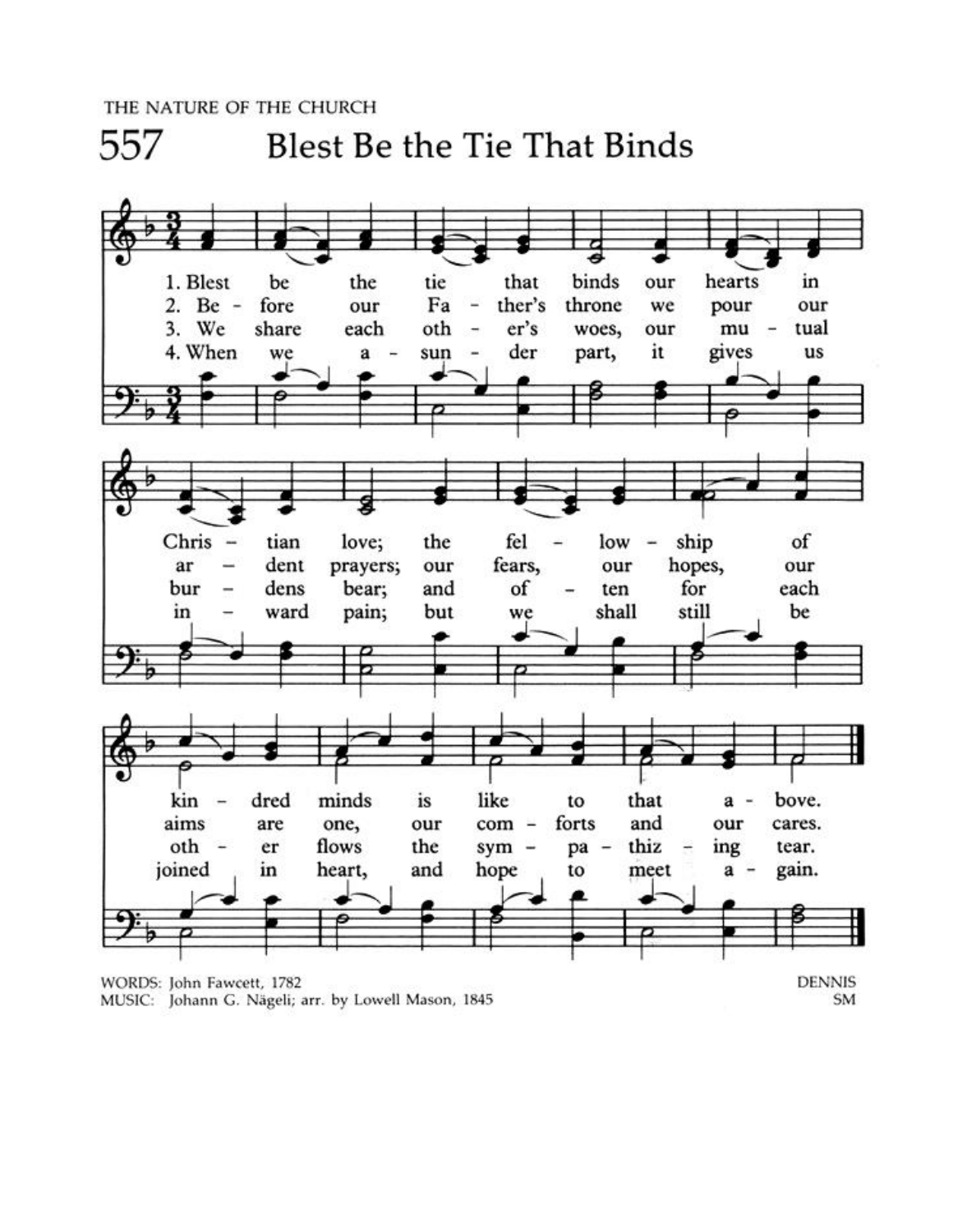THE NATURE OF THE CHURCH

557

**Blest Be the Tie That Binds** 



MUSIC: Johann G. Nägeli; arr. by Lowell Mason, 1845

SM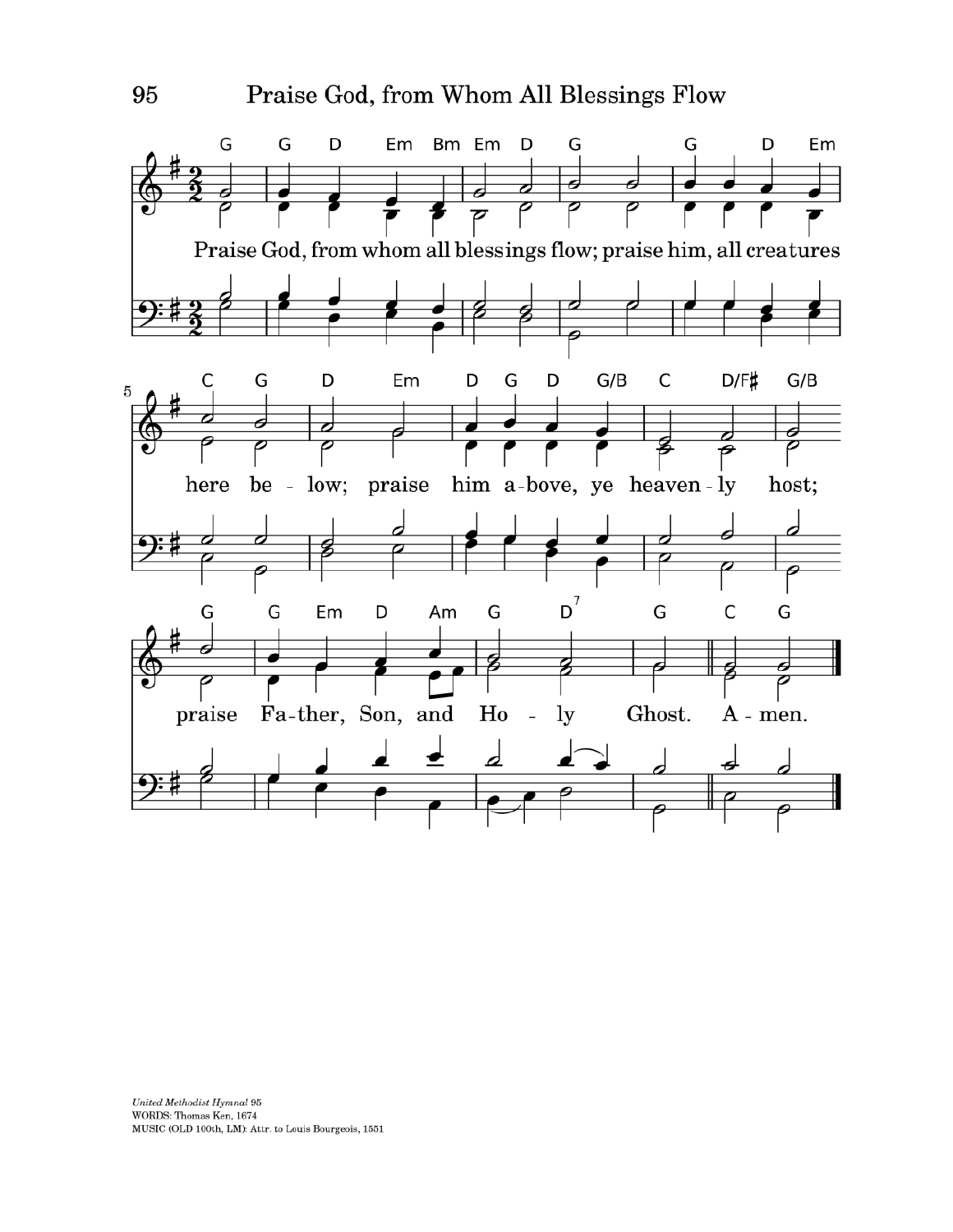

United Methodist Hymnal 95 WORDS: Thomas Ken, 1674 MUSIC (OLD 100th, LM): Attr. to Louis Bourgeois, 1551